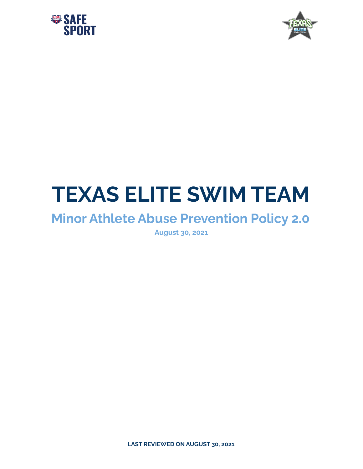



# **TEXAS ELITE SWIM TEAM**

# **Minor Athlete Abuse Prevention Policy 2.0**

**August 30, 2021**

**LAST REVIEWED ON AUGUST 30, 2021**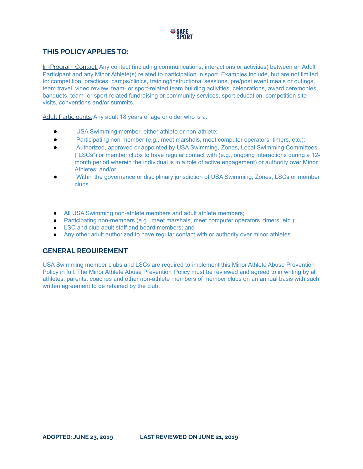

# **THIS POLICY APPLIES TO:**

In-Program Contact: Any contact (including communications, interactions or activities) between an Adult Participant and any Minor Athlete(s) related to participation in sport. Examples include, but are not limited to: competition, practices, camps/clinics, training/instructional sessions, pre/post event meals or outings, team travel, video review, team- or sport-related team building activities, celebrations, award ceremonies, banquets, team- or sport-related fundraising or community services, sport education, competition site visits, conventions and/or summits.

Adult Participants: Any adult 18 years of age or older who is a:

- USA Swimming member, either athlete or non-athlete;
- Participating non-member (e.g., meet marshals, meet computer operators, timers, etc.);
- Authorized, approved or appointed by USA Swimming, Zones, Local Swimming Committees ("LSCs") or member clubs to have regular contact with (e.g., ongoing interactions during a 12 month period wherein the individual is in a role of active engagement) or authority over Minor Athletes; and/or
- Within the governance or disciplinary jurisdiction of USA Swimming, Zones, LSCs or member clubs.
- All USA Swimming non-athlete members and adult athlete members;
- Participating non-members (e.g., meet marshals, meet computer operators, timers, etc.);
- LSC and club adult staff and board members; and
- Any other adult authorized to have regular contact with or authority over minor athletes.

## **GENERAL REQUIREMENT**

USA Swimming member clubs and LSCs are required to implement this Minor Athlete Abuse Prevention Policy in full. The Minor Athlete Abuse Prevention Policy must be reviewed and agreed to in writing by all athletes, parents, coaches and other non-athlete members of member clubs on an annual basis with such written agreement to be retained by the club.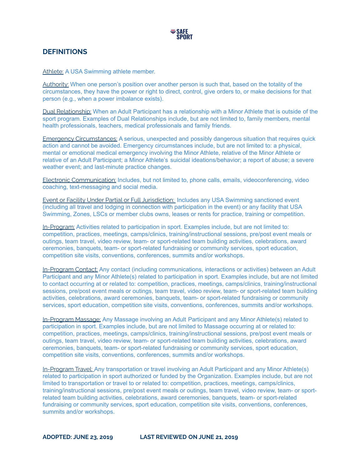# **DEFINITIONS**

Athlete: A USA Swimming athlete member.

Authority: When one person's position over another person is such that, based on the totality of the circumstances, they have the power or right to direct, control, give orders to, or make decisions for that person (e.g., when a power imbalance exists).

Dual Relationship: When an Adult Participant has a relationship with a Minor Athlete that is outside of the sport program. Examples of Dual Relationships include, but are not limited to, family members, mental health professionals, teachers, medical professionals and family friends.

Emergency Circumstances: A serious, unexpected and possibly dangerous situation that requires quick action and cannot be avoided. Emergency circumstances include, but are not limited to: a physical, mental or emotional medical emergency involving the Minor Athlete, relative of the Minor Athlete or relative of an Adult Participant; a Minor Athlete's suicidal ideations/behavior; a report of abuse; a severe weather event; and last-minute practice changes.

Electronic Communication: Includes, but not limited to, phone calls, emails, videoconferencing, video coaching, text-messaging and social media.

Event or Facility Under Partial or Full Jurisdiction: Includes any USA Swimming sanctioned event (including all travel and lodging in connection with participation in the event) or any facility that USA Swimming, Zones, LSCs or member clubs owns, leases or rents for practice, training or competition.

In-Program: Activities related to participation in sport. Examples include, but are not limited to: competition, practices, meetings, camps/clinics, training/instructional sessions, pre/post event meals or outings, team travel, video review, team- or sport-related team building activities, celebrations, award ceremonies, banquets, team- or sport-related fundraising or community services, sport education, competition site visits, conventions, conferences, summits and/or workshops.

In-Program Contact: Any contact (including communications, interactions or activities) between an Adult Participant and any Minor Athlete(s) related to participation in sport. Examples include, but are not limited to contact occurring at or related to: competition, practices, meetings, camps/clinics, training/instructional sessions, pre/post event meals or outings, team travel, video review, team- or sport-related team building activities, celebrations, award ceremonies, banquets, team- or sport-related fundraising or community services, sport education, competition site visits, conventions, conferences, summits and/or workshops.

In-Program Massage: Any Massage involving an Adult Participant and any Minor Athlete(s) related to participation in sport. Examples include, but are not limited to Massage occurring at or related to: competition, practices, meetings, camps/clinics, training/instructional sessions, pre/post event meals or outings, team travel, video review, team- or sport-related team building activities, celebrations, award ceremonies, banquets, team- or sport-related fundraising or community services, sport education, competition site visits, conventions, conferences, summits and/or workshops.

In-Program Travel: Any transportation or travel involving an Adult Participant and any Minor Athlete(s) related to participation in sport authorized or funded by the Organization. Examples include, but are not limited to transportation or travel to or related to: competition, practices, meetings, camps/clinics, training/instructional sessions, pre/post event meals or outings, team travel, video review, team- or sportrelated team building activities, celebrations, award ceremonies, banquets, team- or sport-related fundraising or community services, sport education, competition site visits, conventions, conferences, summits and/or workshops.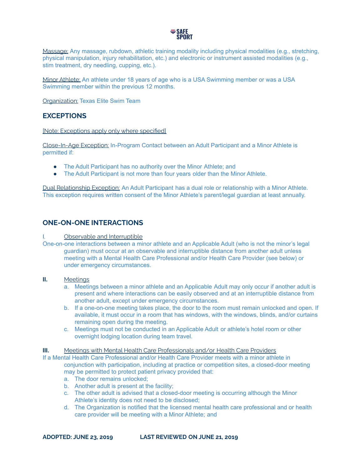

Massage: Any massage, rubdown, athletic training modality including physical modalities (e.g., stretching, physical manipulation, injury rehabilitation, etc.) and electronic or instrument assisted modalities (e.g., stim treatment, dry needling, cupping, etc.).

Minor Athlete: An athlete under 18 years of age who is a USA Swimming member or was a USA Swimming member within the previous 12 months.

**Organization: Texas Elite Swim Team** 

# **EXCEPTIONS**

[Note: Exceptions apply only where specified]

Close-In-Age Exception: In-Program Contact between an Adult Participant and a Minor Athlete is permitted if:

- **●** The Adult Participant has no authority over the Minor Athlete; and
- **●** The Adult Participant is not more than four years older than the Minor Athlete.

Dual Relationship Exception: An Adult Participant has a dual role or relationship with a Minor Athlete. This exception requires written consent of the Minor Athlete's parent/legal guardian at least annually.

# **ONE-ON-ONE INTERACTIONS**

#### I. Observable and Interruptible

One-on-one interactions between a minor athlete and an Applicable Adult (who is not the minor's legal guardian) must occur at an observable and interruptible distance from another adult unless meeting with a Mental Health Care Professional and/or Health Care Provider (see below) or under emergency circumstances.

#### **II.** Meetings

- a. Meetings between a minor athlete and an Applicable Adult may only occur if another adult is present and where interactions can be easily observed and at an interruptible distance from another adult, except under emergency circumstances.
- b. If a one-on-one meeting takes place, the door to the room must remain unlocked and open. If available, it must occur in a room that has windows, with the windows, blinds, and/or curtains remaining open during the meeting.
- c. Meetings must not be conducted in an Applicable Adult or athlete's hotel room or other overnight lodging location during team travel.

**III.** Meetings with Mental Health Care Professionals and/or Health Care Providers

If a Mental Health Care Professional and/or Health Care Provider meets with a minor athlete in conjunction with participation, including at practice or competition sites, a closed-door meeting may be permitted to protect patient privacy provided that:

- a. The door remains unlocked;
- b. Another adult is present at the facility;
- c. The other adult is advised that a closed-door meeting is occurring although the Minor Athlete's identity does not need to be disclosed;
- d. The Organization is notified that the licensed mental health care professional and or health care provider will be meeting with a Minor Athlete; and

**ADOPTED: JUNE 23, 2019 LAST REVIEWED ON JUNE 21, 2019**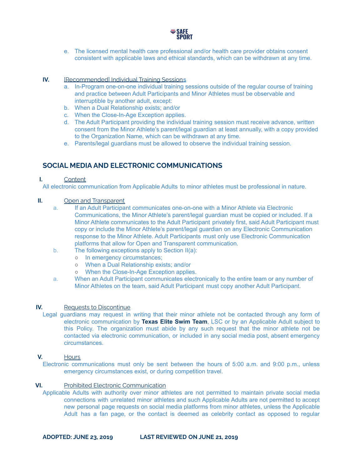

e. The licensed mental health care professional and/or health care provider obtains consent consistent with applicable laws and ethical standards, which can be withdrawn at any time.

## **IV. IRecommendedI Individual Training Sessions**

- a. In-Program one-on-one individual training sessions outside of the regular course of training and practice between Adult Participants and Minor Athletes must be observable and interruptible by another adult, except:
- b. When a Dual Relationship exists; and/or
- c. When the Close-In-Age Exception applies.
- d. The Adult Participant providing the individual training session must receive advance, written consent from the Minor Athlete's parent/legal guardian at least annually, with a copy provided to the Organization Name, which can be withdrawn at any time.
- e. Parents/legal guardians must be allowed to observe the individual training session.

# **SOCIAL MEDIA AND ELECTRONIC COMMUNICATIONS**

#### **I.** Content

All electronic communication from Applicable Adults to minor athletes must be professional in nature.

#### **II.** Open and Transparent

- a. If an Adult Participant communicates one-on-one with a Minor Athlete via Electronic Communications, the Minor Athlete's parent/legal guardian must be copied or included. If a Minor Athlete communicates to the Adult Participant privately first, said Adult Participant must copy or include the Minor Athlete's parent/legal guardian on any Electronic Communication response to the Minor Athlete. Adult Participants must only use Electronic Communication platforms that allow for Open and Transparent communication.
- b. The following exceptions apply to Section II(a):
	- o In emergency circumstances;
	- When a Dual Relationship exists; and/or
	- When the Close-In-Age Exception applies.
- a. When an Adult Participant communicates electronically to the entire team or any number of Minor Athletes on the team, said Adult Participant must copy another Adult Participant.

#### **IV.** Requests to Discontinue

Legal guardians may request in writing that their minor athlete not be contacted through any form of electronic communication by **Texas Elite Swim Team**, LSC or by an Applicable Adult subject to this Policy. The organization must abide by any such request that the minor athlete not be contacted via electronic communication, or included in any social media post, absent emergency circumstances.

#### **V.** Hours

Electronic communications must only be sent between the hours of 5:00 a.m. and 9:00 p.m., unless emergency circumstances exist, or during competition travel.

#### **VI.** Prohibited Electronic Communication

Applicable Adults with authority over minor athletes are not permitted to maintain private social media connections with unrelated minor athletes and such Applicable Adults are not permitted to accept new personal page requests on social media platforms from minor athletes, unless the Applicable Adult has a fan page, or the contact is deemed as celebrity contact as opposed to regular

**ADOPTED: JUNE 23, 2019 LAST REVIEWED ON JUNE 21, 2019**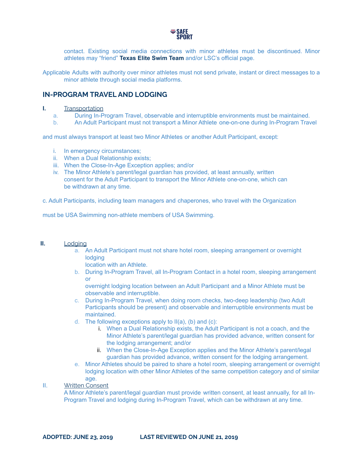

contact. Existing social media connections with minor athletes must be discontinued. Minor athletes may "friend" **Texas Elite Swim Team** and/or LSC's official page.

Applicable Adults with authority over minor athletes must not send private, instant or direct messages to a minor athlete through social media platforms.

# **IN-PROGRAM TRAVEL AND LODGING**

#### **I.** Transportation

- a. During In-Program Travel, observable and interruptible environments must be maintained.
- b. An Adult Participant must not transport a Minor Athlete one-on-one during In-Program Travel

and must always transport at least two Minor Athletes or another Adult Participant, except:

- i. In emergency circumstances;
- ii. When a Dual Relationship exists;
- iii. When the Close-In-Age Exception applies; and/or
- iv. The Minor Athlete's parent/legal guardian has provided, at least annually, written consent for the Adult Participant to transport the Minor Athlete one-on-one, which can be withdrawn at any time.

c. Adult Participants, including team managers and chaperones, who travel with the Organization

must be USA Swimming non-athlete members of USA Swimming.

#### **II.** Lodging

- a. An Adult Participant must not share hotel room, sleeping arrangement or overnight **lodging** 
	- location with an Athlete.
- b. During In-Program Travel, all In-Program Contact in a hotel room, sleeping arrangement or

overnight lodging location between an Adult Participant and a Minor Athlete must be observable and interruptible.

- c. During In-Program Travel, when doing room checks, two-deep leadership (two Adult Participants should be present) and observable and interruptible environments must be maintained.
- d. The following exceptions apply to II(a), (b) and (c):
	- i. When a Dual Relationship exists, the Adult Participant is not a coach, and the Minor Athlete's parent/legal guardian has provided advance, written consent for the lodging arrangement; and/or
	- ii. When the Close-In-Age Exception applies and the Minor Athlete's parent/legal guardian has provided advance, written consent for the lodging arrangement.
- e. Minor Athletes should be paired to share a hotel room, sleeping arrangement or overnight lodging location with other Minor Athletes of the same competition category and of similar age.

#### II. Written Consent

A Minor Athlete's parent/legal guardian must provide written consent, at least annually, for all In-Program Travel and lodging during In-Program Travel, which can be withdrawn at any time.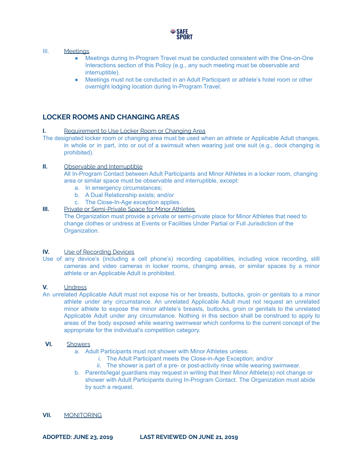

#### III. Meetings

- Meetings during In-Program Travel must be conducted consistent with the One-on-One Interactions section of this Policy (e.g., any such meeting must be observable and interruptible).
- Meetings must not be conducted in an Adult Participant or athlete's hotel room or other overnight lodging location during In-Program Travel.

# **LOCKER ROOMS AND CHANGING AREAS**

#### **I.** Requirement to Use Locker Room or Changing Area

The designated locker room or changing area must be used when an athlete or Applicable Adult changes, in whole or in part, into or out of a swimsuit when wearing just one suit (e.g., deck changing is prohibited).

#### **II.** Observable and Interruptible

All In-Program Contact between Adult Participants and Minor Athletes in a locker room, changing area or similar space must be observable and interruptible, except:

- a. In emergency circumstances;
- b. A Dual Relationship exists; and/or
- c. The Close-In-Age exception applies.

#### **III.** Private or Semi-Private Space for Minor Athletes

The Organization must provide a private or semi-private place for Minor Athletes that need to change clothes or undress at Events or Facilities Under Partial or Full Jurisdiction of the Organization.

#### **IV.** Use of Recording Devices

Use of any device's (including a cell phone's) recording capabilities, including voice recording, still cameras and video cameras in locker rooms, changing areas, or similar spaces by a minor athlete or an Applicable Adult is prohibited.

#### **V.** Undress

An unrelated Applicable Adult must not expose his or her breasts, buttocks, groin or genitals to a minor athlete under any circumstance. An unrelated Applicable Adult must not request an unrelated minor athlete to expose the minor athlete's breasts, buttocks, groin or genitals to the unrelated Applicable Adult under any circumstance. Nothing in this section shall be construed to apply to areas of the body exposed while wearing swimwear which conforms to the current concept of the appropriate for the individual's competition category.

#### **VI.** Showers

- a. Adult Participants must not shower with Minor Athletes unless:
	- i. The Adult Participant meets the Close-in-Age Exception; and/or
	- ii. The shower is part of a pre- or post-activity rinse while wearing swimwear.
- b. Parents/legal guardians may request in writing that their Minor Athlete(s) not change or shower with Adult Participants during In-Program Contact. The Organization must abide by such a request.

#### **VII.** MONITORING

**ADOPTED: JUNE 23, 2019 LAST REVIEWED ON JUNE 21, 2019**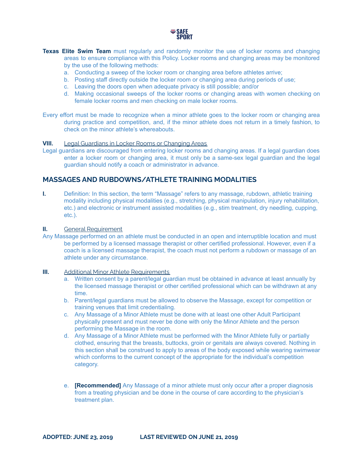

- **Texas Elite Swim Team** must regularly and randomly monitor the use of locker rooms and changing areas to ensure compliance with this Policy. Locker rooms and changing areas may be monitored by the use of the following methods:
	- a. Conducting a sweep of the locker room or changing area before athletes arrive;
	- b. Posting staff directly outside the locker room or changing area during periods of use;
	- c. Leaving the doors open when adequate privacy is still possible; and/or
	- d. Making occasional sweeps of the locker rooms or changing areas with women checking on female locker rooms and men checking on male locker rooms.

Every effort must be made to recognize when a minor athlete goes to the locker room or changing area during practice and competition, and, if the minor athlete does not return in a timely fashion, to check on the minor athlete's whereabouts.

#### **VIII.** Legal Guardians in Locker Rooms or Changing Areas

Legal guardians are discouraged from entering locker rooms and changing areas. If a legal guardian does enter a locker room or changing area, it must only be a same-sex legal guardian and the legal guardian should notify a coach or administrator in advance.

# **MASSAGES AND RUBDOWNS/ATHLETE TRAINING MODALITIES**

**I.** Definition: In this section, the term "Massage" refers to any massage, rubdown, athletic training modality including physical modalities (e.g., stretching, physical manipulation, injury rehabilitation, etc.) and electronic or instrument assisted modalities (e.g., stim treatment, dry needling, cupping, etc.).

#### **II.** General Requirement

Any Massage performed on an athlete must be conducted in an open and interruptible location and must be performed by a licensed massage therapist or other certified professional. However, even if a coach is a licensed massage therapist, the coach must not perform a rubdown or massage of an athlete under any circumstance.

#### **III.** Additional Minor Athlete Requirements

- a. Written consent by a parent/legal guardian must be obtained in advance at least annually by the licensed massage therapist or other certified professional which can be withdrawn at any time.
- b. Parent/legal guardians must be allowed to observe the Massage, except for competition or training venues that limit credentialing.
- c. Any Massage of a Minor Athlete must be done with at least one other Adult Participant physically present and must never be done with only the Minor Athlete and the person performing the Massage in the room.
- d. Any Massage of a Minor Athlete must be performed with the Minor Athlete fully or partially clothed, ensuring that the breasts, buttocks, groin or genitals are always covered. Nothing in this section shall be construed to apply to areas of the body exposed while wearing swimwear which conforms to the current concept of the appropriate for the individual's competition category.
- e. **[Recommended]** Any Massage of a minor athlete must only occur after a proper diagnosis from a treating physician and be done in the course of care according to the physician's treatment plan.